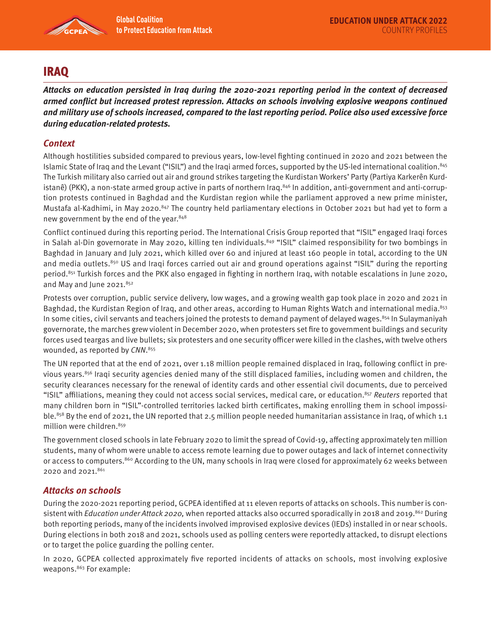

# IRAQ

**Attacks on education persisted in Iraq during the 2020-2021 reporting period in the context of decreased armed conflict but increased protest repression. Attacks on schools involving explosive weapons continued and military use of schools increased, compared to the last reporting period. Police also used excessive force during education-related protests.** 

## **Context**

Although hostilities subsided compared to previous years, low-level fighting continued in 2020 and 2021 between the Islamic State of Iraq and the Levant ("ISIL") and the Iraqi armed forces, supported by the US-led international coalition.845 The Turkish military also carried out air and ground strikes targeting the Kurdistan Workers' Party (Partiya Karkerên Kurdistanê) (PKK), a non-state armed group active in parts of northern Iraq.<sup>846</sup> In addition, anti-government and anti-corruption protests continued in Baghdad and the Kurdistan region while the parliament approved a new prime minister, Mustafa al-Kadhimi, in May 2020.<sup>847</sup> The country held parliamentary elections in October 2021 but had yet to form a new government by the end of the year.<sup>848</sup>

Conflict continued during this reporting period. The International Crisis Group reported that "ISIL" engaged Iraqi forces in Salah al-Din governorate in May 2020, killing ten individuals.<sup>849</sup> "ISIL" claimed responsibility for two bombings in Baghdad in January and July 2021, which killed over 60 and injured at least 160 people in total, according to the UN and media outlets.<sup>850</sup> US and Iraqi forces carried out air and ground operations against "ISIL" during the reporting period.<sup>851</sup> Turkish forces and the PKK also engaged in fighting in northern Iraq, with notable escalations in June 2020, and May and June 2021. $852$ 

Protests over corruption, public service delivery, low wages, and a growing wealth gap took place in 2020 and 2021 in Baghdad, the Kurdistan Region of Iraq, and other areas, according to Human Rights Watch and international media.<sup>853</sup> In some cities, civil servants and teachers joined the protests to demand payment of delayed wages. $854$  In Sulaymaniyah governorate, the marches grew violent in December 2020, when protesters set fire to government buildings and security forces used teargas and live bullets; six protesters and one security officer were killed in the clashes, with twelve others wounded, as reported by CNN.<sup>855</sup>

The UN reported that at the end of 2021, over 1.18 million people remained displaced in Iraq, following conflict in previous years.<sup>856</sup> Iraqi security agencies denied many of the still displaced families, including women and children, the security clearances necessary for the renewal of identity cards and other essential civil documents, due to perceived "ISIL" affiliations, meaning they could not access social services, medical care, or education.<sup>857</sup> Reuters reported that many children born in "ISIL"-controlled territories lacked birth certificates, making enrolling them in school impossible.<sup>858</sup> By the end of 2021, the UN reported that 2.5 million people needed humanitarian assistance in Iraq, of which 1.1 million were children.859

The government closed schools in late February 2020 to limit the spread of Covid-19, affecting approximately ten million students, many of whom were unable to access remote learning due to power outages and lack of internet connectivity or access to computers.<sup>860</sup> According to the UN, many schools in Iraq were closed for approximately 62 weeks between 2020 and 2021.<sup>861</sup>

## **Attacks on schools**

During the 2020-2021 reporting period, GCPEA identified at 11 eleven reports of attacks on schools. This number is consistent with *Education under Attack 2020*, when reported attacks also occurred sporadically in 2018 and 2019.<sup>862</sup> During both reporting periods, many of the incidents involved improvised explosive devices (IEDs) installed in or near schools. During elections in both 2018 and 2021, schools used as polling centers were reportedly attacked, to disrupt elections or to target the police guarding the polling center.

In 2020, GCPEA collected approximately five reported incidents of attacks on schools, most involving explosive weapons.863 For example: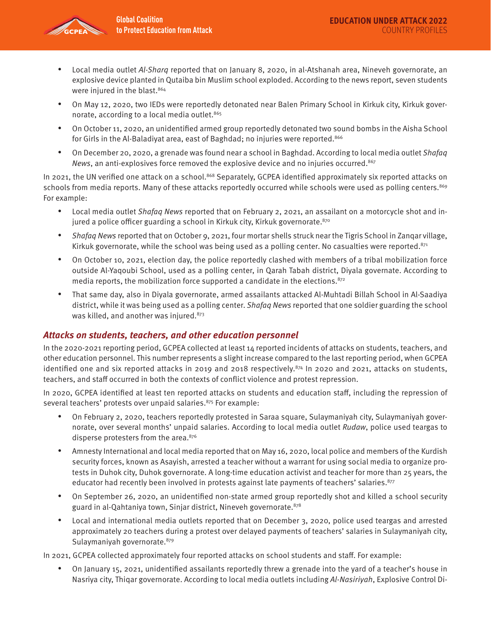

- Local media outlet Al-Sharq reported that on January 8, 2020, in al-Atshanah area, Nineveh governorate, an explosive device planted in Qutaiba bin Muslim school exploded. According to the news report, seven students were injured in the blast.<sup>864</sup>
- On May 12, 2020, two IEDs were reportedly detonated near Balen Primary School in Kirkuk city, Kirkuk governorate, according to a local media outlet.<sup>865</sup>
- On October 11, 2020, an unidentified armed group reportedly detonated two sound bombs in the Aisha School for Girls in the Al-Baladiyat area, east of Baghdad; no injuries were reported.<sup>866</sup>
- On December 20, 2020, a grenade was found near a school in Baghdad. According to local media outlet Shafaq News, an anti-explosives force removed the explosive device and no injuries occurred.<sup>867</sup>

In 2021, the UN verified one attack on a school.<sup>868</sup> Separately, GCPEA identified approximately six reported attacks on schools from media reports. Many of these attacks reportedly occurred while schools were used as polling centers.<sup>869</sup> For example:

- Local media outlet Shafaq News reported that on February 2, 2021, an assailant on a motorcycle shot and injured a police officer guarding a school in Kirkuk city, Kirkuk governorate.<sup>870</sup>
- Shafaq News reported that on October 9, 2021, four mortar shells struck near the Tigris School in Zanqar village, Kirkuk governorate, while the school was being used as a polling center. No casualties were reported. $871$
- On October 10, 2021, election day, the police reportedly clashed with members of a tribal mobilization force outside Al-Yaqoubi School, used as a polling center, in Qarah Tabah district, Diyala governate. According to media reports, the mobilization force supported a candidate in the elections. $872$
- That same day, also in Diyala governorate, armed assailants attacked Al-Muhtadi Billah School in Al-Saadiya district, while it was being used as a polling center. Shafaq News reported that one soldier guarding the school was killed, and another was injured.873

## **Attacks on students, teachers, and other education personnel**

In the 2020-2021 reporting period, GCPEA collected at least 14 reported incidents of attacks on students, teachers, and other education personnel. This number represents a slight increase compared to the last reporting period, when GCPEA identified one and six reported attacks in 2019 and 2018 respectively. $874$  In 2020 and 2021, attacks on students, teachers, and staff occurred in both the contexts of conflict violence and protest repression.

In 2020, GCPEA identified at least ten reported attacks on students and education staff, including the repression of several teachers' protests over unpaid salaries.<sup>875</sup> For example:

- On February 2, 2020, teachers reportedly protested in Saraa square, Sulaymaniyah city, Sulaymaniyah governorate, over several months' unpaid salaries. According to local media outlet Rudaw, police used teargas to disperse protesters from the area.<sup>876</sup>
- Amnesty International and local media reported that on May 16, 2020, local police and members of the Kurdish security forces, known as Asayish, arrested a teacher without a warrant for using social media to organize protests in Duhok city, Duhok governorate. A long-time education activist and teacher for more than 25 years, the educator had recently been involved in protests against late payments of teachers' salaries.<sup>877</sup>
- On September 26, 2020, an unidentified non-state armed group reportedly shot and killed a school security guard in al-Qahtaniya town, Sinjar district, Nineveh governorate. 878
- Local and international media outlets reported that on December 3, 2020, police used teargas and arrested approximately 20 teachers during a protest over delayed payments of teachers' salaries in Sulaymaniyah city, Sulaymaniyah governorate.<sup>879</sup>

In 2021, GCPEA collected approximately four reported attacks on school students and staff. For example:

• On January 15, 2021, unidentified assailants reportedly threw a grenade into the yard of a teacher's house in Nasriya city, Thiqar governorate. According to local media outlets including Al-Nasiriyah, Explosive Control Di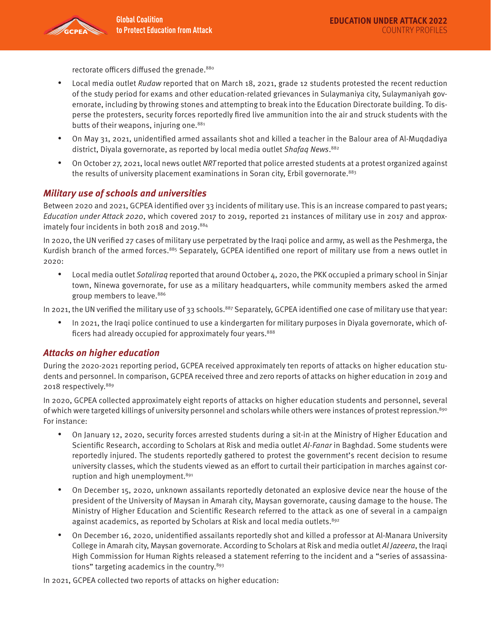rectorate officers diffused the grenade.<sup>880</sup>

- Local media outlet Rudaw reported that on March 18, 2021, grade 12 students protested the recent reduction of the study period for exams and other education-related grievances in Sulaymaniya city, Sulaymaniyah governorate, including by throwing stones and attempting to break into the Education Directorate building. To disperse the protesters, security forces reportedly fired live ammunition into the air and struck students with the butts of their weapons, injuring one.<sup>881</sup>
- On May 31, 2021, unidentified armed assailants shot and killed a teacher in the Balour area of Al-Muqdadiya district, Diyala governorate, as reported by local media outlet Shafaq News.<sup>882</sup>
- On October 27, 2021, local news outlet NRT reported that police arrested students at a protest organized against the results of university placement examinations in Soran city, Erbil governorate.<sup>883</sup>

## **Military use of schools and universities**

Between 2020 and 2021, GCPEA identified over 33 incidents of military use. This is an increase compared to past years; Education under Attack 2020, which covered 2017 to 2019, reported 21 instances of military use in 2017 and approximately four incidents in both 2018 and 2019.884

In 2020, the UN verified 27 cases of military use perpetrated by the Iraqi police and army, as well as the Peshmerga, the Kurdish branch of the armed forces.885 Separately, GCPEA identified one report of military use from a news outlet in 2020:

• Local media outlet Sotaliraq reported that around October 4, 2020, the PKK occupied a primary school in Sinjar town, Ninewa governorate, for use as a military headquarters, while community members asked the armed group members to leave.<sup>886</sup>

In 2021, the UN verified the military use of 33 schools. $887$  Separately, GCPEA identified one case of military use that year:

• In 2021, the Iraqi police continued to use a kindergarten for military purposes in Diyala governorate, which officers had already occupied for approximately four years.<sup>888</sup>

## **Attacks on higher education**

During the 2020-2021 reporting period, GCPEA received approximately ten reports of attacks on higher education students and personnel. In comparison, GCPEA received three and zero reports of attacks on higher education in 2019 and 2018 respectively.889

In 2020, GCPEA collected approximately eight reports of attacks on higher education students and personnel, several of which were targeted killings of university personnel and scholars while others were instances of protest repression.<sup>890</sup> For instance:

- On January 12, 2020, security forces arrested students during a sit-in at the Ministry of Higher Education and Scientific Research, according to Scholars at Risk and media outlet Al-Fanar in Baghdad. Some students were reportedly injured. The students reportedly gathered to protest the government's recent decision to resume university classes, which the students viewed as an effort to curtail their participation in marches against corruption and high unemployment.<sup>891</sup>
- On December 15, 2020, unknown assailants reportedly detonated an explosive device near the house of the president of the University of Maysan in Amarah city, Maysan governorate, causing damage to the house. The Ministry of Higher Education and Scientific Research referred to the attack as one of several in a campaign against academics, as reported by Scholars at Risk and local media outlets.<sup>892</sup>
- On December 16, 2020, unidentified assailants reportedly shot and killed a professor at Al-Manara University College in Amarah city, Maysan governorate. According to Scholars at Risk and media outlet Al Jazeera, the Iraqi High Commission for Human Rights released a statement referring to the incident and a "series of assassinations" targeting academics in the country.893

In 2021, GCPEA collected two reports of attacks on higher education: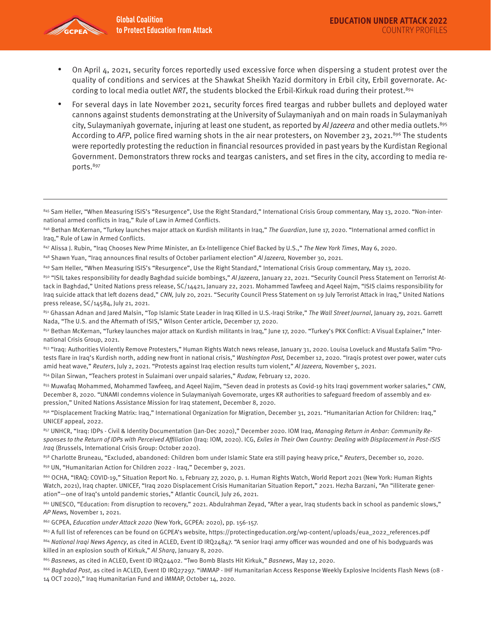

- On April 4, 2021, security forces reportedly used excessive force when dispersing a student protest over the quality of conditions and services at the Shawkat Sheikh Yazid dormitory in Erbil city, Erbil governorate. According to local media outlet NRT, the students blocked the Erbil-Kirkuk road during their protest.<sup>894</sup>
- For several days in late November 2021, security forces fired teargas and rubber bullets and deployed water cannons against students demonstrating at the University of Sulaymaniyah and on main roads in Sulaymaniyah city, Sulaymaniyah governate, injuring at least one student, as reported by Al Jazeera and other media outlets.<sup>895</sup> According to AFP, police fired warning shots in the air near protesters, on November 23, 2021.<sup>896</sup> The students were reportedly protesting the reduction in financial resources provided in past years by the Kurdistan Regional Government. Demonstrators threw rocks and teargas canisters, and set fires in the city, according to media reports.897

845 Sam Heller, "When Measuring ISIS's "Resurgence", Use the Right Standard," International Crisis Group commentary, May 13, 2020. "Non-international armed conflicts in Iraq," Rule of Law in Armed Conflicts.

846 Bethan McKernan, "Turkey launches major attack on Kurdish militants in Iraq," The Guardian, June 17, 2020. "International armed conflict in Iraq," Rule of Law in Armed Conflicts.

847 Alissa J. Rubin, "Iraq Chooses New Prime Minister, an Ex-Intelligence Chief Backed by U.S.," The New York Times, May 6, 2020.

848 Shawn Yuan, "Iraq announces final results of October parliament election" Al Jazeera, November 30, 2021.

849 Sam Heller, "When Measuring ISIS's "Resurgence", Use the Right Standard," International Crisis Group commentary, May 13, 2020.

850 "ISIL takes responsibility for deadly Baghdad suicide bombings," Al Jazeera, January 22, 2021. "Security Council Press Statement on Terrorist Attack in Baghdad," United Nations press release, SC/14421, January 22, 2021. Mohammed Tawfeeq and Aqeel Najm, "ISIS claims responsibility for Iraq suicide attack that left dozens dead," CNN, July 20, 2021. "Security Council Press Statement on 19 July Terrorist Attack in Iraq," United Nations press release, SC/14584, July 21, 2021.

851 Ghassan Adnan and Jared Malsin, "Top Islamic State Leader in Iraq Killed in U.S.-Iraqi Strike," The Wall Street Journal, January 29, 2021. Garrett Nada, "The U.S. and the Aftermath of ISIS," Wilson Center article, December 17, 2020.

853 "Iraq: Authorities Violently Remove Protesters," Human Rights Watch news release, January 31, 2020. Louisa Loveluck and Mustafa Salim "Protests flare in Iraq's Kurdish north, adding new front in national crisis," Washington Post, December 12, 2020. "Iraqis protest over power, water cuts amid heat wave," Reuters, July 2, 2021. "Protests against Iraq election results turn violent," Al Jazeera, November 5, 2021.

854 Dilan Sirwan, "Teachers protest in Sulaimani over unpaid salaries," Rudaw, February 12, 2020.

855 Muwafaq Mohammed, Mohammed Tawfeeq, and Aqeel Najim, "Seven dead in protests as Covid-19 hits Iraqi government worker salaries," CNN, December 8, 2020. "UNAMI condemns violence in Sulaymaniyah Governorate, urges KR authorities to safeguard freedom of assembly and expression," United Nations Assistance Mission for Iraq statement, December 8, 2020.

856 "Displacement Tracking Matrix: Iraq," International Organization for Migration, December 31, 2021. "Humanitarian Action for Children: Iraq," UNICEF appeal, 2022.

857 UNHCR, "Iraq: IDPs - Civil & Identity Documentation (Jan-Dec 2020)," December 2020. IOM Iraq, Managing Return in Anbar: Community Responses to the Return of IDPs with Perceived Affiliation (Iraq: IOM, 2020). ICG, Exiles in Their Own Country: Dealing with Displacement in Post-ISIS Iraq (Brussels, International Crisis Group: October 2020).

858 Charlotte Bruneau, "Excluded, abandoned: Children born under Islamic State era still paying heavy price," Reuters, December 10, 2020.

859 UN, "Humanitarian Action for Children 2022 - Iraq," December 9, 2021.

860 OCHA, "IRAQ: COVID-19," Situation Report No. 1, February 27, 2020, p. 1. Human Rights Watch, World Report 2021 (New York: Human Rights Watch, 2021), Iraq chapter. UNICEF, "Iraq 2020 Displacement Crisis Humanitarian Situation Report," 2021. Hezha Barzani, "An "illiterate generation"—one of Iraq's untold pandemic stories," Atlantic Council, July 26, 2021.

861 UNESCO, "Education: From disruption to recovery," 2021. Abdulrahman Zeyad, "After a year, Iraq students back in school as pandemic slows," AP News, November 1, 2021.

862 GCPEA, Education under Attack 2020 (New York, GCPEA: 2020), pp. 156-157.

863 A full list of references can be found on GCPEA's website, https://protectingeducation.org/wp-content/uploads/eua\_2022\_references.pdf 864 National Iraqi News Agency, as cited in ACLED, Event ID IRQ24847. "A senior Iraqi army officer was wounded and one of his bodyguards was killed in an explosion south of Kirkuk," Al Sharq, January 8, 2020.

865 Basnews, as cited in ACLED, Event ID IRQ24402. "Two Bomb Blasts Hit Kirkuk," Basnews, May 12, 2020.

866 Baghdad Post, as cited in ACLED, Event ID IRQ27297. "iMMAP - IHF Humanitarian Access Response Weekly Explosive Incidents Flash News (08 -14 OCT 2020)," Iraq Humanitarian Fund and iMMAP, October 14, 2020.

<sup>852</sup> Bethan McKernan, "Turkey launches major attack on Kurdish militants in Iraq," June 17, 2020. "Turkey's PKK Conflict: A Visual Explainer," International Crisis Group, 2021.